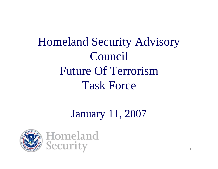Homeland Security Advisory Council Future Of TerrorismTask Force

## January 11, 2007

1

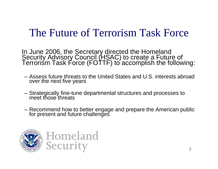#### The Future of Terrorism Task Force

In June 2006, the Secretary directed the Homeland Security Advisory Council (HSAC) to create a Future of Terrorism Task Force (FOTTF) to accomplish the following:

- Assess future threats to the United States and U.S. interests abroad over the next five years
- –Strategically fine-tune departmental structures and processes to<br>meet those threats
- –Recommend how to better engage and prepare the American public<br>for present and future challenges

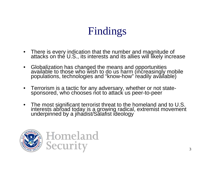- •There is every indication that the number and magnitude of<br>attacks on the U.S., its interests and its allies will likely increase
- Globalization has changed the means and opportunities<br>available to those who wish to do us harm (increasingly mobile<br>populations, technologies and "know-how" readily available)
- Terrorism is a tactic for any adversary, whether or not state- sponsored, who chooses not to attack us peer-to-peer
- The most significant terrorist threat to the homeland and to U.S. interests abroad today is a growing radical, extremist movement underpinned by a jihadist/Salafist ideology

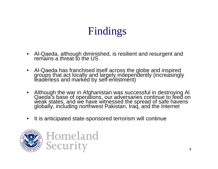- •Al-Qaeda, although diminished, is resilient and resurgent and<br>remains a threat to the US
- $\bullet$ Al-Qaeda has franchised itself across the globe and inspired<br>groups that act locally and largely independently (increasingly<br>leaderless and marked by self-enlistment)
- Although the war in Afghanistan was successful in destroying Al<br>Qaeda's base of operations, our adversaries continue to feed on<br>weak states, and we have witnessed the spread of safe havens<br>globally, including northwest P
- $\bullet$ It is anticipated state-sponsored terrorism will continue

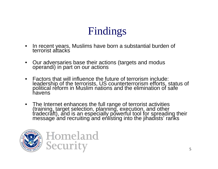- •In recent years, Muslims have born a substantial burden of terrorist attacks
- •Our adversaries base their actions (targets and modus operandi) in part on our actions
- • Factors that will influence the future of terrorism include: leadership of the terrorists, US counterterrorism efforts, status of political reform in Muslim nations and the elimination of safe havens
- The Internet enhances the full range of terrorist activities<br>(training, target selection, planning, execution, and other<br>tradecraft), and is an especially powerful tool for spreading their<br>message and recruiting and enli

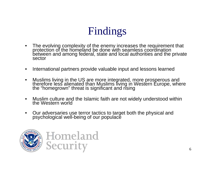- •The evolving complexity of the enemy increases the requirement that protection of the homeland be done with seamless coordination between and among federal, state and local authorities and the private sector
- •International partners provide valuable input and lessons learned
- •Muslims living in the US are more integrated, more prosperous and<br>therefore less alienated than Muslims living in Western Europe, where<br>the "homegrown" threat is significant and rising
- •Muslim culture and the Islamic faith are not widely understood within the Western world
- $\bullet$ Our adversaries use terror tactics to target both the physical and psychological well-being of our populace

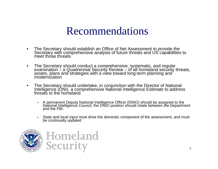- •The Secretary should establish an Office of Net Assessment to provide the Secretary with comprehensive analysis of future threats and US capabilities to meet those threats
- $\bullet$ The Secretary should conduct a comprehensive, systematic, and regular<br>examination – a Quadrennial Security Review – of all homeland security threats,<br>assets, plans and strategies with a view toward long-term planning and<br>m
- $\bullet$ The Secretary should undertake, in conjunction with the Director of National<br>Intelligence (DNI), a comprehensive National Intelligence Estimate to address<br>threats to the homeland
	- –A permanent Deputy National Intelligence Officer (DNIO) should be assigned to the<br>National Intelligence Council; the DNIO position should rotate between the Department<br>and the FBI.
	- State and local input must drive the domestic component of the assessment, and must<br>be continually updated

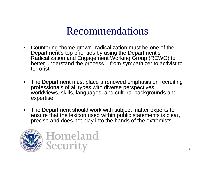- Countering "home-grown" radicalization must be one of the Department's top priorities by using the Department's Radicalization and Engagement Working Group (REWG) to better understand the process – from sympathizer to activist to terrorist
- The Department must place a renewed emphasis on recruiting professionals of all types with diverse perspectives, worldviews, skills, languages, and cultural backgrounds and expertise
- The Department should work with subject matter experts to ensure that the lexicon used within public statements is clear, precise and does not play into the hands of the extremists

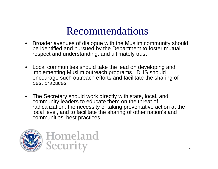- • Broader avenues of dialogue with the Muslim community should be identified and pursued by the Department to foster mutual respect and understanding, and ultimately trust
- • Local communities should take the lead on developing and implementing Muslim outreach programs. DHS should encourage such outreach efforts and facilitate the sharing of best practices
- The Secretary should work directly with state, local, and community leaders to educate them on the threat of radicalization, the necessity of taking preventative action at the local level, and to facilitate the sharing of other nation's and communities' best practices

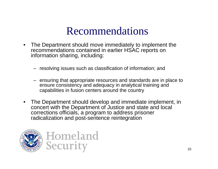- The Department should move immediately to implement the recommendations contained in earlier HSAC reports on information sharing, including:
	- resolving issues such as classification of information; and
	- ensuring that appropriate resources and standards are in place to ensure consistency and adequacy in analytical training and capabilities in fusion centers around the country
- The Department should develop and immediate implement, in concert with the Department of Justice and state and local corrections officials, a program to address prisoner radicalization and post-sentence reintegration

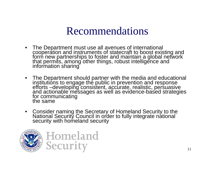- The Department must use all avenues of international<br>cooperation and instruments of statecraft to boost existing and<br>form new partnerships to foster and maintain a global network<br>that permits, among other things, robust
- The Department should partner with the media and educational<br>institutions to engage the public in prevention and response<br>efforts –developing consistent, accurate, realistic, persuasive<br>and actionable messages as well as
- Consider naming the Secretary of Homeland Security to the National Security Council in order to fully integrate national security with homeland security

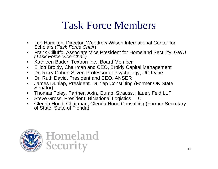### Task Force Members

- •Lee Hamilton, Director, Woodrow Wilson International Center for Scholars (*Task Force Chair*)
- •Frank Cilluffo, Associate Vice President for Homeland Security, GWU *(Task Force Vice-Chair)*
- $\bullet$ Kathleen Bader, Textron Inc., Board Member
- $\bullet$ Elliott Broidy, Chairman and CEO, Broidy Capital Management
- •Dr. Roxy Cohen-Silver, Professor of Psychology, UC Irvine
- •Dr. Ruth David, President and CEO, ANSER
- $\bullet$ James Dunlap, President, Dunlap Consulting (Former OK State Senator)
- $\bullet$ Thomas Foley, Partner, Akin, Gump, Strauss, Hauer, Feld LLP
- $\bullet$ Steve Gross, President, BiNational Logistics LLC
- •Glenda Hood, Chairman, Glenda Hood Consulting (Former Secretary of State, State of Florida)

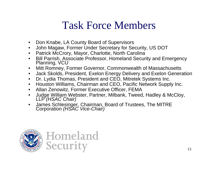### Task Force Members

- •Don Knabe, LA County Board of Supervisors
- •John Magaw, Former Under Secretary for Security, US DOT
- •Patrick McCrory, Mayor, Charlotte, North Carolina
- •Bill Parrish, Associate Professor, Homeland Security and Emergency Planning, VCU
- •Mitt Romney, Former Governor, Commonwealth of Massachusetts
- $\bullet$ Jack Skolds, President, Exelon Energy Delivery and Exelon Generation
- •Dr. Lydia Thomas, President and CEO, Mitretek Systems Inc.
- $\bullet$ Houston Williams, Chairman and CEO, Pacific Network Supply Inc.
- Allan Zenowitz, Former Executive Officer, FEMA
- •Judge William Webster, Partner, Milbank, Tweed, Hadley & McCloy, LLP *(HSAC Chair)*
- •James Schlesinger, Chairman, Board of Trustees, The MITRE Corporation *(HSAC Vice-Chair)*

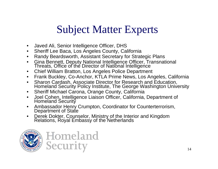## Subject Matter Experts

- •Javed Ali, Senior Intelligence Officer, DHS
- •Sheriff Lee Baca, Los Angeles County, California
- •Randy Beardsworth, Assistant Secretary for Strategic Plans
- •Gina Bennett, Deputy National Intelligence Officer, Transnational Threats, Office of the Director of National Intelligence
- •Chief William Bratton, Los Angeles Police Department
- •Frank Buckley, Co-Anchor, KTLA Prime News, Los Angeles, California
- •Sharon Cardash, Associate Director for Research and Education,<br>Homeland Security Policy Institute, The George Washington University
- $\bullet$ Sheriff Michael Carona, Orange County, California
- •Joel Cohen, Intelligence Liaison Officer, California, Department of Homeland Security
- $\bullet$ Ambassador Henry Crumpton, Coordinator for Counterterrorism, Department of State
- •Derek Dokter, Counselor, Ministry of the Interior and Kingdom Relations, Royal Embassy of the Netherlands

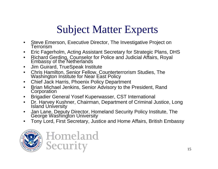## Subject Matter Experts

- •Steve Emerson, Executive Director, The Investigative Project on<br>Terrorism
- •Eric Fagerholm, Acting Assistant Secretary for Strategic Plans, DHS
- •Richard Gerding, Counselor for Police and Judicial Affairs, Royal Embassy of the Netherlands
- $\bullet$ Jim Guirard, TrueSpeak Institute
- •Chris Hamilton, Senior Fellow, Counterterrorism Studies, The Washington Institute for Near East Policy
- •Chief Jack Harris, Phoenix Policy Department
- •Brian Michael Jenkins, Senior Advisory to the President, Rand Corporation
- •Brigadier General Yosef Kuperwasser, CST International
- •Dr. Harvey Kushner, Chairman, Department of Criminal Justice, Long Island University
- •Jan Lane, Deputy Director, Homeland Security Policy Institute, The George Washington University
- •Tony Lord, First Secretary, Justice and Home Affairs, British Embassy